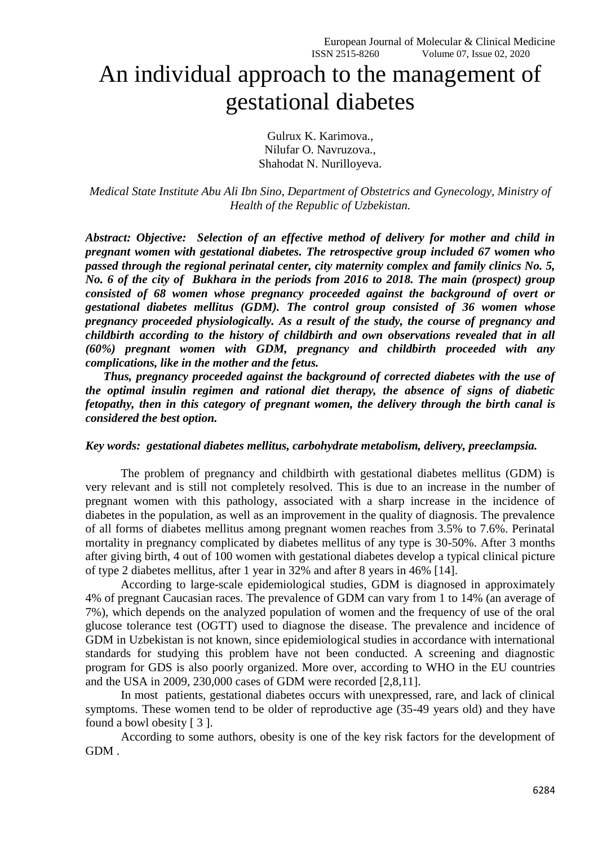# An individual approach to the management of gestational diabetes

Gulrux K. Karimova., Nilufar O. Navruzova., Shahodat N. Nurilloyeva.

*Medical State Institute Abu Ali Ibn Sino, Department of Obstetrics and Gynecology, Ministry of Health of the Republic of Uzbekistan.*

*Abstract: Objective: Selection of an effective method of delivery for mother and child in pregnant women with gestational diabetes. The retrospective group included 67 women who passed through the regional perinatal center, city maternity complex and family clinics No. 5, No. 6 of the city of Bukhara in the periods from 2016 to 2018. The main (prospect) group consisted of 68 women whose pregnancy proceeded against the background of overt or gestational diabetes mellitus (GDM). The control group consisted of 36 women whose pregnancy proceeded physiologically. As a result of the study, the course of pregnancy and childbirth according to the history of childbirth and own observations revealed that in all (60%) pregnant women with GDM, pregnancy and childbirth proceeded with any complications, like in the mother and the fetus.*

*Thus, pregnancy proceeded against the background of corrected diabetes with the use of the optimal insulin regimen and rational diet therapy, the absence of signs of diabetic fetopathy, then in this category of pregnant women, the delivery through the birth canal is considered the best option.* 

#### *Key words: gestational diabetes mellitus, carbohydrate metabolism, delivery, preeclampsia.*

The problem of pregnancy and childbirth with gestational diabetes mellitus (GDM) is very relevant and is still not completely resolved. This is due to an increase in the number of pregnant women with this pathology, associated with a sharp increase in the incidence of diabetes in the population, as well as an improvement in the quality of diagnosis. The prevalence of all forms of diabetes mellitus among pregnant women reaches from 3.5% to 7.6%. Perinatal mortality in pregnancy complicated by diabetes mellitus of any type is 30-50%. After 3 months after giving birth, 4 out of 100 women with gestational diabetes develop a typical clinical picture of type 2 diabetes mellitus, after 1 year in 32% and after 8 years in 46% [14].

According to large-scale epidemiological studies, GDM is diagnosed in approximately 4% of pregnant Caucasian races. The prevalence of GDM can vary from 1 to 14% (an average of 7%), which depends on the analyzed population of women and the frequency of use of the oral glucose tolerance test (OGTT) used to diagnose the disease. The prevalence and incidence of GDM in Uzbekistan is not known, since epidemiological studies in accordance with international standards for studying this problem have not been conducted. A screening and diagnostic program for GDS is also poorly organized. More over, according to WHO in the EU countries and the USA in 2009, 230,000 cases of GDM were recorded [2,8,11].

In most patients, gestational diabetes occurs with unexpressed, rare, and lack of clinical symptoms. These women tend to be older of reproductive age (35-49 years old) and they have found a bowl obesity [ 3 ].

According to some authors, obesity is one of the key risk factors for the development of GDM .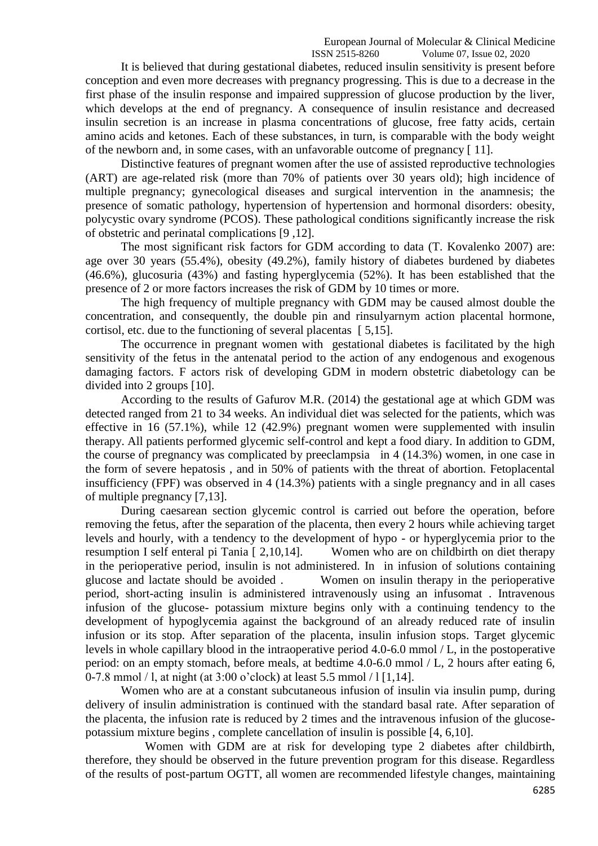#### European Journal of Molecular & Clinical Medicine

ISSN 2515-8260 Volume 07, Issue 02, 2020

It is believed that during gestational diabetes, reduced insulin sensitivity is present before conception and even more decreases with pregnancy progressing. This is due to a decrease in the first phase of the insulin response and impaired suppression of glucose production by the liver, which develops at the end of pregnancy. A consequence of insulin resistance and decreased insulin secretion is an increase in plasma concentrations of glucose, free fatty acids, certain amino acids and ketones. Each of these substances, in turn, is comparable with the body weight of the newborn and, in some cases, with an unfavorable outcome of pregnancy [ 11].

Distinctive features of pregnant women after the use of assisted reproductive technologies (ART) are age-related risk (more than 70% of patients over 30 years old); high incidence of multiple pregnancy; gynecological diseases and surgical intervention in the anamnesis; the presence of somatic pathology, hypertension of hypertension and hormonal disorders: obesity, polycystic ovary syndrome (PCOS). These pathological conditions significantly increase the risk of obstetric and perinatal complications [9 ,12].

The most significant risk factors for GDM according to data (T. Kovalenko 2007) are: age over 30 years (55.4%), obesity (49.2%), family history of diabetes burdened by diabetes (46.6%), glucosuria (43%) and fasting hyperglycemia (52%). It has been established that the presence of 2 or more factors increases the risk of GDM by 10 times or more.

The high frequency of multiple pregnancy with GDM may be caused almost double the concentration, and consequently, the double pin and rinsulyarnym action placental hormone, cortisol, etc. due to the functioning of several placentas [ 5,15].

The occurrence in pregnant women with gestational diabetes is facilitated by the high sensitivity of the fetus in the antenatal period to the action of any endogenous and exogenous damaging factors. F actors risk of developing GDM in modern obstetric diabetology can be divided into 2 groups [10].

According to the results of Gafurov M.R. (2014) the gestational age at which GDM was detected ranged from 21 to 34 weeks. An individual diet was selected for the patients, which was effective in 16 (57.1%), while 12 (42.9%) pregnant women were supplemented with insulin therapy. All patients performed glycemic self-control and kept a food diary. In addition to GDM, the course of pregnancy was complicated by preeclampsia in 4 (14.3%) women, in one case in the form of severe hepatosis , and in 50% of patients with the threat of abortion. Fetoplacental insufficiency (FPF) was observed in 4 (14.3%) patients with a single pregnancy and in all cases of multiple pregnancy [7,13].

During caesarean section glycemic control is carried out before the operation, before removing the fetus, after the separation of the placenta, then every 2 hours while achieving target levels and hourly, with a tendency to the development of hypo - or hyperglycemia prior to the resumption I self enteral pi Tania [ 2,10,14]. Women who are on childbirth on diet therapy in the perioperative period, insulin is not administered. In in infusion of solutions containing glucose and lactate should be avoided . Women on insulin therapy in the perioperative period, short-acting insulin is administered intravenously using an infusomat . Intravenous infusion of the glucose- potassium mixture begins only with a continuing tendency to the development of hypoglycemia against the background of an already reduced rate of insulin infusion or its stop. After separation of the placenta, insulin infusion stops. Target glycemic levels in whole capillary blood in the intraoperative period 4.0-6.0 mmol / L, in the postoperative period: on an empty stomach, before meals, at bedtime 4.0-6.0 mmol / L, 2 hours after eating 6, 0-7.8 mmol / l, at night (at 3:00 o'clock) at least 5.5 mmol / l [1,14].

Women who are at a constant subcutaneous infusion of insulin via insulin pump, during delivery of insulin administration is continued with the standard basal rate. After separation of the placenta, the infusion rate is reduced by 2 times and the intravenous infusion of the glucosepotassium mixture begins , complete cancellation of insulin is possible [4, 6,10].

 Women with GDM are at risk for developing type 2 diabetes after childbirth, therefore, they should be observed in the future prevention program for this disease. Regardless of the results of post-partum OGTT, all women are recommended lifestyle changes, maintaining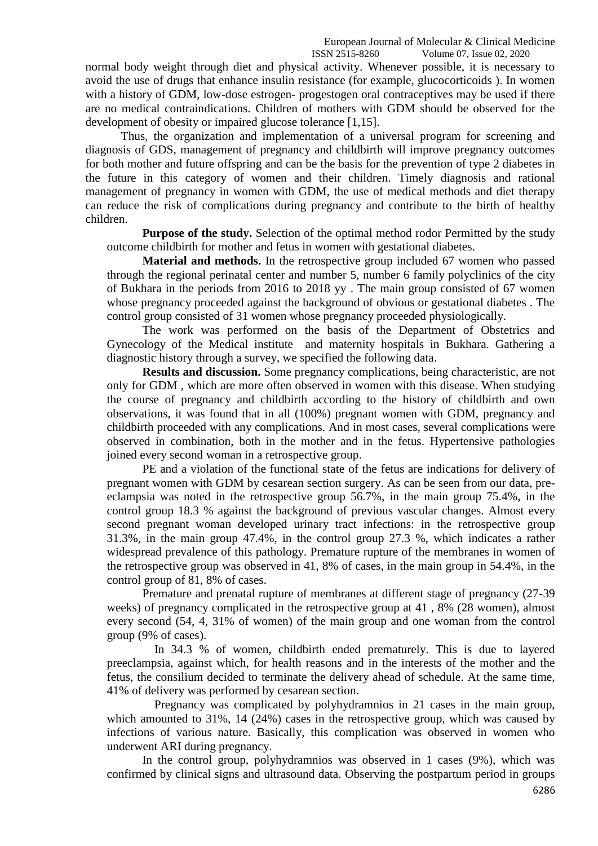European Journal of Molecular & Clinical Medicine ISSN 2515-8260 Volume 07, Issue 02, 2020

normal body weight through diet and physical activity. Whenever possible, it is necessary to avoid the use of drugs that enhance insulin resistance (for example, glucocorticoids ). In women with a history of GDM, low-dose estrogen- progestogen oral contraceptives may be used if there are no medical contraindications. Children of mothers with GDM should be observed for the development of obesity or impaired glucose tolerance [1,15].

Thus, the organization and implementation of a universal program for screening and diagnosis of GDS, management of pregnancy and childbirth will improve pregnancy outcomes for both mother and future offspring and can be the basis for the prevention of type 2 diabetes in the future in this category of women and their children. Timely diagnosis and rational management of pregnancy in women with GDM, the use of medical methods and diet therapy can reduce the risk of complications during pregnancy and contribute to the birth of healthy children.

**Purpose of the study.** Selection of the optimal method rodor Permitted by the study outcome childbirth for mother and fetus in women with gestational diabetes.

**Material and methods.** In the retrospective group included 67 women who passed through the regional perinatal center and number 5, number 6 family polyclinics of the city of Bukhara in the periods from 2016 to 2018 yy . The main group consisted of 67 women whose pregnancy proceeded against the background of obvious or gestational diabetes . The control group consisted of 31 women whose pregnancy proceeded physiologically.

The work was performed on the basis of the Department of Obstetrics and Gynecology of the Medical institute and maternity hospitals in Bukhara. Gathering a diagnostic history through a survey, we specified the following data.

**Results and discussion.** Some pregnancy complications, being characteristic, are not only for GDM , which are more often observed in women with this disease. When studying the course of pregnancy and childbirth according to the history of childbirth and own observations, it was found that in all (100%) pregnant women with GDM, pregnancy and childbirth proceeded with any complications. And in most cases, several complications were observed in combination, both in the mother and in the fetus. Hypertensive pathologies joined every second woman in a retrospective group.

PE and a violation of the functional state of the fetus are indications for delivery of pregnant women with GDM by cesarean section surgery. As can be seen from our data, preeclampsia was noted in the retrospective group 56.7%, in the main group 75.4%, in the control group 18.3 % against the background of previous vascular changes. Almost every second pregnant woman developed urinary tract infections: in the retrospective group 31.3%, in the main group 47.4%, in the control group 27.3 %, which indicates a rather widespread prevalence of this pathology. Premature rupture of the membranes in women of the retrospective group was observed in 41, 8% of cases, in the main group in 54.4%, in the control group of 81, 8% of cases.

Premature and prenatal rupture of membranes at different stage of pregnancy (27-39 weeks) of pregnancy complicated in the retrospective group at 41 , 8% (28 women), almost every second (54, 4, 31% of women) of the main group and one woman from the control group (9% of cases).

 In 34.3 % of women, childbirth ended prematurely. This is due to layered preeclampsia, against which, for health reasons and in the interests of the mother and the fetus, the consilium decided to terminate the delivery ahead of schedule. At the same time, 41% of delivery was performed by cesarean section.

 Pregnancy was complicated by polyhydramnios in 21 cases in the main group, which amounted to 31%, 14 (24%) cases in the retrospective group, which was caused by infections of various nature. Basically, this complication was observed in women who underwent ARI during pregnancy.

In the control group, polyhydramnios was observed in 1 cases (9%), which was confirmed by clinical signs and ultrasound data. Observing the postpartum period in groups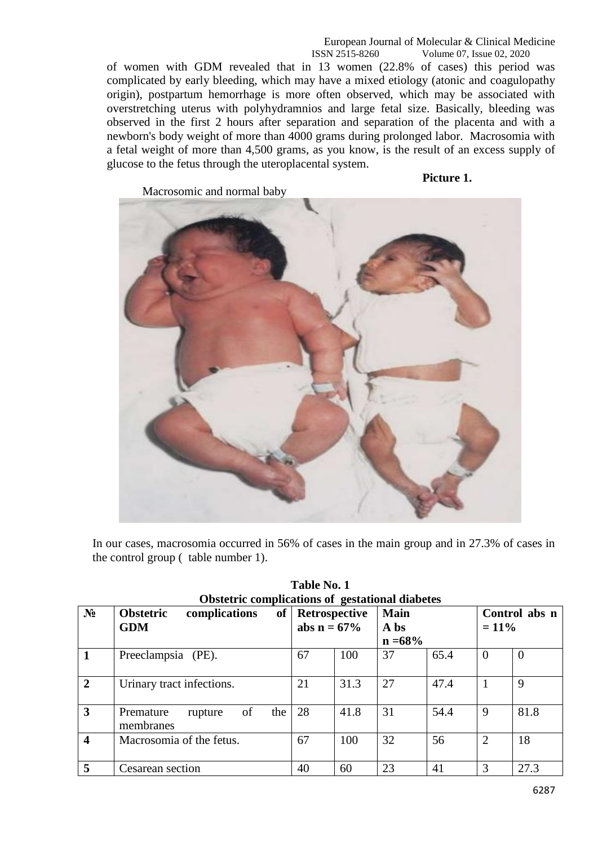European Journal of Molecular & Clinical Medicine ISSN 2515-8260 Volume 07, Issue 02, 2020

of women with GDM revealed that in 13 women (22.8% of cases) this period was complicated by early bleeding, which may have a mixed etiology (atonic and coagulopathy origin), postpartum hemorrhage is more often observed, which may be associated with overstretching uterus with polyhydramnios and large fetal size. Basically, bleeding was observed in the first 2 hours after separation and separation of the placenta and with a newborn's body weight of more than 4000 grams during prolonged labor. Macrosomia with a fetal weight of more than 4,500 grams, as you know, is the result of an excess supply of glucose to the fetus through the uteroplacental system.

Macrosomic and normal baby

**Picture 1.**



In our cases, macrosomia occurred in 56% of cases in the main group and in 27.3% of cases in the control group ( table number 1).

|                         | Obstetric complications of gestational diabetes |                    |      |             |      |                |                |  |  |  |  |  |
|-------------------------|-------------------------------------------------|--------------------|------|-------------|------|----------------|----------------|--|--|--|--|--|
| N <sub>2</sub>          | <b>Obstetric</b><br>complications               | of   Retrospective |      | <b>Main</b> |      | Control abs n  |                |  |  |  |  |  |
|                         | <b>GDM</b>                                      | abs $n = 67%$      |      | A bs        |      | $= 11\%$       |                |  |  |  |  |  |
|                         |                                                 |                    |      | $n = 68\%$  |      |                |                |  |  |  |  |  |
|                         | Preeclampsia (PE).                              | 67                 | 100  | 37          | 65.4 | $\overline{0}$ | $\overline{0}$ |  |  |  |  |  |
| $\overline{2}$          | Urinary tract infections.                       | 21                 | 31.3 | 27          | 47.4 |                | 9              |  |  |  |  |  |
| 3                       | of<br>the<br>Premature<br>rupture<br>membranes  | 28                 | 41.8 | 31          | 54.4 | 9              | 81.8           |  |  |  |  |  |
| $\overline{\mathbf{4}}$ | Macrosomia of the fetus.                        | 67                 | 100  | 32          | 56   | $\overline{2}$ | 18             |  |  |  |  |  |
| 5                       | Cesarean section                                | 40                 | 60   | 23          | 41   | 3              | 27.3           |  |  |  |  |  |

| Table No. 1                                            |  |  |  |  |  |  |  |  |  |  |
|--------------------------------------------------------|--|--|--|--|--|--|--|--|--|--|
| <b>Obstetric complications of gestational diabetes</b> |  |  |  |  |  |  |  |  |  |  |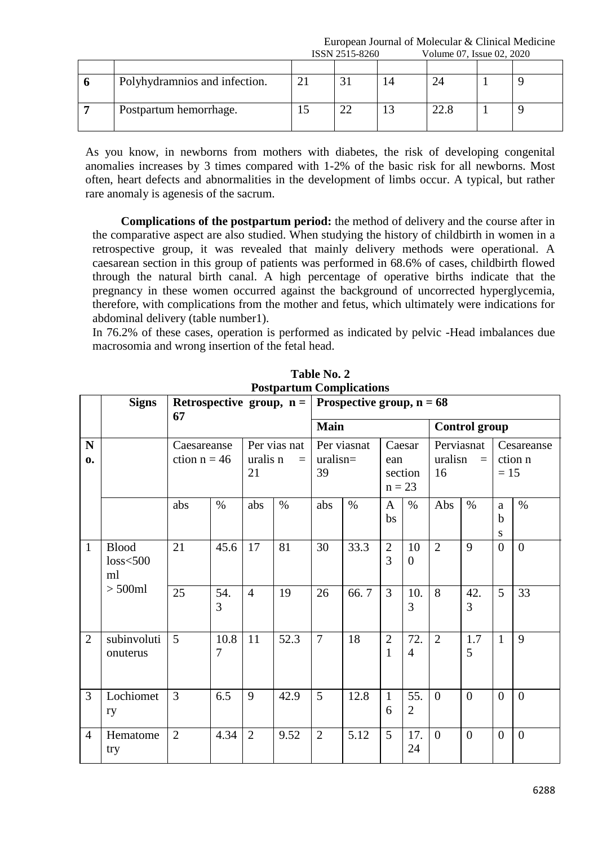European Journal of Molecular & Clinical Medicine<br>
ISSN 2515-8260<br>
Volume 07, Issue 02, 2020  $V_{\text{olume}}$  07, Issue 02, 2020

|                               | TOOT LOT CHOO | $\sqrt{0.01}$ v order to $\sqrt{0.01}$ and $\sqrt{0.01}$ and $\sqrt{0.01}$ |  |  |  |
|-------------------------------|---------------|----------------------------------------------------------------------------|--|--|--|
|                               |               |                                                                            |  |  |  |
| Polyhydramnios and infection. |               |                                                                            |  |  |  |
| Postpartum hemorrhage.        |               | 22.8                                                                       |  |  |  |

As you know, in newborns from mothers with diabetes, the risk of developing congenital anomalies increases by 3 times compared with 1-2% of the basic risk for all newborns. Most often, heart defects and abnormalities in the development of limbs occur. A typical, but rather rare anomaly is agenesis of the sacrum.

**Complications of the postpartum period:** the method of delivery and the course after in the comparative aspect are also studied. When studying the history of childbirth in women in a retrospective group, it was revealed that mainly delivery methods were operational. A caesarean section in this group of patients was performed in 68.6% of cases, childbirth flowed through the natural birth canal. A high percentage of operative births indicate that the pregnancy in these women occurred against the background of uncorrected hyperglycemia, therefore, with complications from the mother and fetus, which ultimately were indications for abdominal delivery (table number1).

In 76.2% of these cases, operation is performed as indicated by pelvic -Head imbalances due macrosomia and wrong insertion of the fetal head.

|                   | <b>Signs</b>                      | Retrospective group, $n =$<br>67 |           | Prospective group, $n = 68$                |      |                |                                |                                |                                     |                      |                                   |                |                                 |  |
|-------------------|-----------------------------------|----------------------------------|-----------|--------------------------------------------|------|----------------|--------------------------------|--------------------------------|-------------------------------------|----------------------|-----------------------------------|----------------|---------------------------------|--|
|                   |                                   |                                  |           |                                            |      | <b>Main</b>    |                                |                                |                                     | <b>Control group</b> |                                   |                |                                 |  |
| N<br>$\mathbf{0}$ |                                   | Caesareanse<br>ction $n = 46$    |           | Per vias nat<br>uralis n<br>$\equiv$<br>21 |      | 39             | Per viasnat<br>uralisn=<br>ean |                                | Caesar<br>16<br>section<br>$n = 23$ |                      | Perviasnat<br>uralisn<br>$\equiv$ |                | Cesareanse<br>ction n<br>$= 15$ |  |
|                   |                                   | abs                              | $\%$      | abs                                        | $\%$ | abs            | $\%$                           | $\mathbf{A}$<br>bs             | $\%$                                | Abs                  | $\%$                              | a<br>b<br>S    | $\%$                            |  |
| $\mathbf{1}$      | <b>Blood</b><br>$loss<$ 500<br>ml | 21                               | 45.6      | 17                                         | 81   | 30             | 33.3                           | $\overline{2}$<br>3            | 10<br>$\boldsymbol{0}$              | $\overline{2}$       | 9                                 | $\theta$       | $\theta$                        |  |
|                   | $> 500$ ml                        | 25                               | 54.<br>3  | $\overline{4}$                             | 19   | 26             | 66.7                           | $\overline{3}$                 | 10.<br>3                            | 8                    | 42.<br>3                          | 5              | 33                              |  |
| $\overline{2}$    | subinvoluti<br>onuterus           | 5                                | 10.8<br>7 | 11                                         | 52.3 | $\overline{7}$ | 18                             | $\overline{2}$<br>$\mathbf{1}$ | 72.<br>$\overline{4}$               | $\overline{2}$       | 1.7<br>5                          | $\mathbf{1}$   | 9                               |  |
| $\overline{3}$    | Lochiomet<br>ry                   | 3                                | 6.5       | 9                                          | 42.9 | 5              | 12.8                           | $\mathbf{1}$<br>6              | 55.<br>$\overline{2}$               | $\overline{0}$       | $\overline{0}$                    | $\overline{0}$ | $\overline{0}$                  |  |
| $\overline{4}$    | Hematome<br>try                   | $\overline{2}$                   | 4.34      | $\overline{2}$                             | 9.52 | $\overline{2}$ | 5.12                           | 5                              | 17.<br>24                           | $\overline{0}$       | $\Omega$                          | $\overline{0}$ | $\overline{0}$                  |  |

**Table No. 2 Postpartum Complications**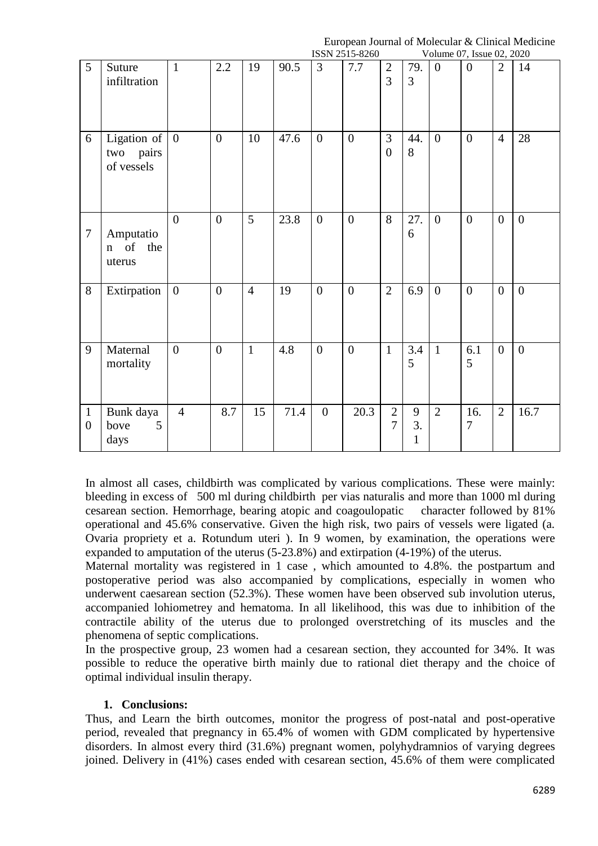European Journal of Molecular & Clinical Medicine

|                                |                                                        |                  |                  |                |      |                  | ISSN 2515-8260 |                                |                                                  | Volume 07, Issue 02, 2020 |                  |                |                |
|--------------------------------|--------------------------------------------------------|------------------|------------------|----------------|------|------------------|----------------|--------------------------------|--------------------------------------------------|---------------------------|------------------|----------------|----------------|
| 5                              | Suture<br>infiltration                                 | $\mathbf{1}$     | $2.2\,$          | 19             | 90.5 | $\overline{3}$   | 7.7            | $\mathbf{2}$<br>$\overline{3}$ | 79.<br>3                                         | $\theta$                  | $\overline{0}$   | $\overline{2}$ | 14             |
| 6                              | Ligation of $\vert 0 \vert$<br>two pairs<br>of vessels |                  | $\boldsymbol{0}$ | 10             | 47.6 | $\overline{0}$   | $\overline{0}$ | 3<br>$\overline{0}$            | 44.<br>8                                         | $\boldsymbol{0}$          | $\boldsymbol{0}$ | $\overline{4}$ | 28             |
| $\tau$                         | Amputatio<br>of<br>the<br>$\mathbf n$<br>uterus        | $\overline{0}$   | $\boldsymbol{0}$ | 5              | 23.8 | $\overline{0}$   | $\overline{0}$ | 8                              | 27.<br>6                                         | $\overline{0}$            | $\overline{0}$   | $\overline{0}$ | $\overline{0}$ |
| 8                              | Extirpation                                            | $\boldsymbol{0}$ | $\overline{0}$   | $\overline{4}$ | 19   | $\overline{0}$   | $\overline{0}$ | $\overline{2}$                 | 6.9                                              | $\overline{0}$            | $\mathbf{0}$     | $\overline{0}$ | $\overline{0}$ |
| 9                              | Maternal<br>mortality                                  | $\overline{0}$   | $\overline{0}$   | $\mathbf{1}$   | 4.8  | $\overline{0}$   | $\overline{0}$ | $\mathbf{1}$                   | 3.4<br>5                                         | $\mathbf{1}$              | 6.1<br>5         | $\overline{0}$ | $\overline{0}$ |
| $\mathbf{1}$<br>$\overline{0}$ | Bunk daya<br>5<br>bove<br>days                         | $\overline{4}$   | 8.7              | 15             | 71.4 | $\boldsymbol{0}$ | 20.3           | $\mathbf{2}$<br>$\overline{7}$ | $\mathbf{9}$<br>$\overline{3}$ .<br>$\mathbf{1}$ | $\overline{2}$            | 16.<br>7         | $\overline{2}$ | 16.7           |

In almost all cases, childbirth was complicated by various complications. These were mainly: bleeding in excess of 500 ml during childbirth per vias naturalis and more than 1000 ml during cesarean section. Hemorrhage, bearing atopic and coagoulopatic character followed by 81% operational and 45.6% conservative. Given the high risk, two pairs of vessels were ligated (a. Ovaria propriety et a. Rotundum uteri ). In 9 women, by examination, the operations were expanded to amputation of the uterus (5-23.8%) and extirpation (4-19%) of the uterus.

Maternal mortality was registered in 1 case , which amounted to 4.8%. the postpartum and postoperative period was also accompanied by complications, especially in women who underwent caesarean section (52.3%). These women have been observed sub involution uterus, accompanied lohiometrey and hematoma. In all likelihood, this was due to inhibition of the contractile ability of the uterus due to prolonged overstretching of its muscles and the phenomena of septic complications.

In the prospective group, 23 women had a cesarean section, they accounted for 34%. It was possible to reduce the operative birth mainly due to rational diet therapy and the choice of optimal individual insulin therapy.

## **1. Conclusions:**

Thus, and Learn the birth outcomes, monitor the progress of post-natal and post-operative period, revealed that pregnancy in 65.4% of women with GDM complicated by hypertensive disorders. In almost every third (31.6%) pregnant women, polyhydramnios of varying degrees joined. Delivery in (41%) cases ended with cesarean section, 45.6% of them were complicated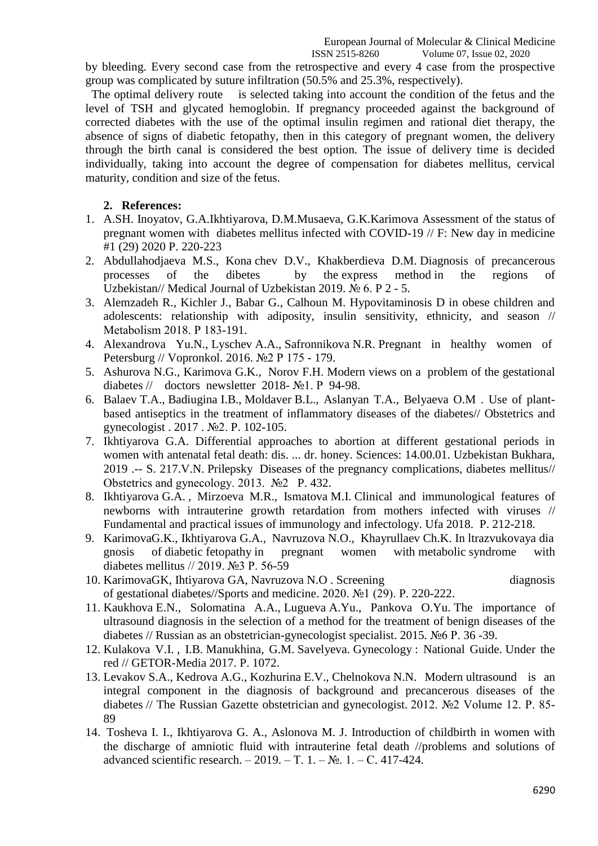ISSN 2515-8260 Volume 07, Issue 02, 2020

by bleeding. Every second case from the retrospective and every 4 case from the prospective group was complicated by suture infiltration (50.5% and 25.3%, respectively).

 The optimal delivery route is selected taking into account the condition of the fetus and the level of TSH and glycated hemoglobin. If pregnancy proceeded against the background of corrected diabetes with the use of the optimal insulin regimen and rational diet therapy, the absence of signs of diabetic fetopathy, then in this category of pregnant women, the delivery through the birth canal is considered the best option. The issue of delivery time is decided individually, taking into account the degree of compensation for diabetes mellitus, cervical maturity, condition and size of the fetus.

### **2. References:**

- 1. A.SH. Inoyatov, G.A.Ikhtiyarova, D.M.Musaeva, G.K.Karimova Assessment of the status of pregnant women with diabetes mellitus infected with COVID-19 // F: New day in medicine #1 (29) 2020 P. 220-223
- 2. Abdullahodjaeva M.S., Kona chev D.V., Khakberdieva D.M. Diagnosis of precancerous processes of the dibetes by the express method in the regions of Uzbekistan// Medical Journal of Uzbekistan 2019. № 6. P 2 - 5.
- 3. Alemzadeh R., Kichler J., Babar G., Calhoun M. Hypovitaminosis D in obese children and adolescents: relationship with adiposity, insulin sensitivity, ethnicity, and season // Metabolism 2018. Р 183-191.
- 4. Alexandrova Yu.N., Lyschev A.A., Safronnikova N.R. Pregnant in healthy women of Petersburg // Vopronkol. 2016. №2 P 175 - 179.
- 5. Ashurova N.G., Karimova G.K., Norov F.H. Modern views on a problem of the gestational diabetes // doctors newsletter 2018- №1. P 94-98.
- 6. Balaev T.A., Badiugina I.B., Moldaver B.L., Aslanyan T.A., Belyaeva O.M . Use of plantbased antiseptics in the treatment of inflammatory diseases of the diabetes// Obstetrics and gynecologist . 2017 . №2. P. 102-105.
- 7. Ikhtiyarova G.A. Differential approaches to abortion at different gestational periods in women with antenatal fetal death: dis. ... dr. honey. Sciences: 14.00.01. Uzbekistan Bukhara, 2019 .-- S. 217.V.N. Prilepsky Diseases of the pregnancy complications, diabetes mellitus// Obstetrics and gynecology. 2013. №2 P. 432.
- 8. Ikhtiyarova G.A. , Mirzoeva M.R., Ismatova M.I. Clinical and immunological features of newborns with intrauterine growth retardation from mothers infected with viruses // Fundamental and practical issues of immunology and infectology. Ufa 2018. P. 212-218.
- 9. KarimovaG.K., Ikhtiyarova G.A., Navruzova N.O., Khayrullaev Ch.K. In ltrazvukovaya dia gnosis of diabetic fetopathy in pregnant women with metabolic syndrome with diabetes mellitus // 2019. №3 P. 56-59
- 10. KarimovaGK, Ihtiyarova GA, Navruzova N.O . Screening diagnosis of gestational diabetes//Sports and medicine. 2020. №1 (29). P. 220-222.
- 11. Kaukhova E.N., Solomatina A.A., Lugueva A.Yu., Pankova O.Yu. The importance of ultrasound diagnosis in the selection of a method for the treatment of benign diseases of the diabetes // Russian as an obstetrician-gynecologist specialist. 2015. №6 P. 36 -39.
- 12. Kulakova V.I. , I.B. Manukhina, G.M. Savelyeva. Gynecology : National Guide. Under the red // GETOR-Media 2017. P. 1072.
- 13. Levakov S.A., Kedrova A.G., Kozhurina E.V., Chelnokova N.N. Modern ultrasound is an integral component in the diagnosis of background and precancerous diseases of the diabetes // The Russian Gazette obstetrician and gynecologist. 2012. №2 Volume 12. P. 85- 89
- 14. Tosheva I. I., Ikhtiyarova G. A., Aslonova M. J. Introduction of childbirth in women with the discharge of amniotic fluid with intrauterine fetal death //problems and solutions of advanced scientific research. – 2019. – Т. 1. –  $N_2$ . 1. – С. 417-424.